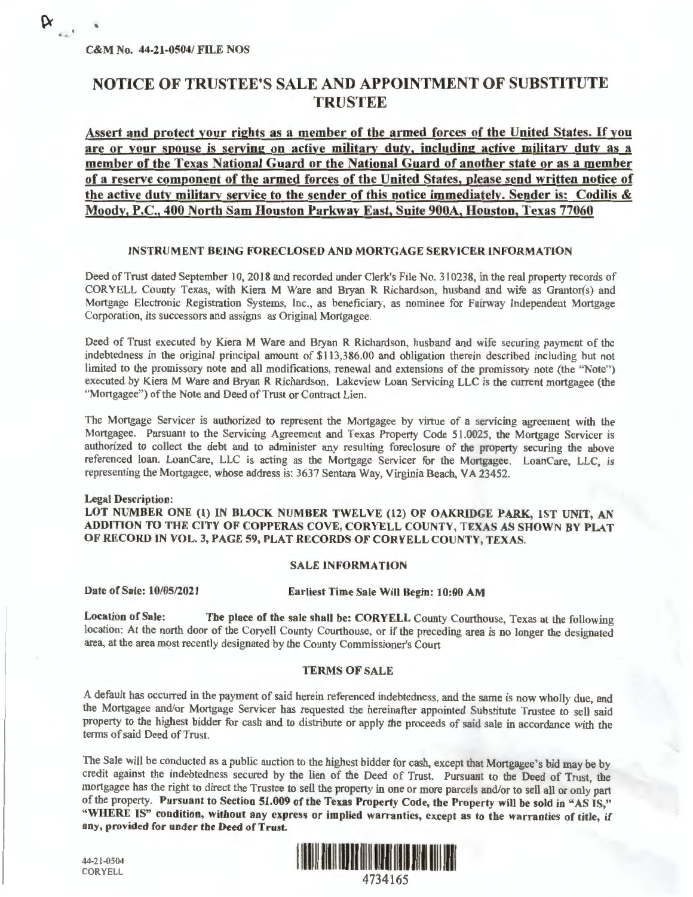'

**Q**  $\mathbf{r} = \mathbf{r}$ 

# NOTICE OF TRUSTEE'S SALE AND APPOINTMENT OF SUBSTITUTE TRUSTEE

**Assert and protect your rights as a member of the armed forces of the United States.** If **you are or your spouse is serving on active military duty, including active military duty as a member of the Texas National Guard or the National Guard of another state or as a member of a reserve component of the armed forces of the United States, please send written notice of the active duty military service to the sender of this notice immediately. Sender is: Codilis** & **Moody, P.C., 400 North Sam Houston Parkway East, Suite 900A, Houston, Texas 77060** 

#### **INSTRUMENT BEING FORECLOSED AND MORTGAGE SERVICER INFORMATION**

Deed of Trust dated September 10, 2018 and recorded under Clerk's File No. 310238, in the real property records of CORYELL County Texas, with Kiera **M** Ware and Bryan R Richardson, husband and wife as Grantor(s) and Mortgage Electronic Registration Systems, Inc., as beneficiary, as nominee for Fairway Independent Mortgage Corporation, its successors and assigns as Original Mortgagee.

Deed of Trust executed by Kiera **M** Ware and Bryan R Richardson, husband and wife securing payment of the indebtedness in the original principal amount of \$113,386.00 and obligation therein described including but not limited to the promissory note and all modifications, renewal and extensions of the promissory note (the "Note") executed by Kiera M Ware and Bryan R Richardson. Lakeview Loan Servicing LLC is the current mortgagee (the "Mortgagee") of the Note and Deed of Trust or Contract Lien.

The Mortgage Servicer is authorized to represent the Mortgagee by virtue of a servicing agreement with the Mortgagee. Pursuant to the Servicing Agreement and Texas Property Code 51.0025, the Mortgage Servicer is authorized to collect the debt and to administer any resulting foreclosure of the property securing the above referenced loan. LoanCare, LLC is acting as the Mortgage Servicer for the Mortgagee. LoanCare, LLC, is representing the Mortgagee, whose address is: 3637 Sentara Way, Virginia Beach, VA 23452.

#### **Legal** Description:

LOT NUMBER ONE (1) IN BLOCK NUMBER TWELVE (12) OF OAKRIDGE PARK, 1ST UNIT, AN ADDITION TO THE CITY OF COPPERAS COVE, CORYELL COUNTY, TEXAS AS SHOWN BY PLAT OF RECORD IN VOL. 3, PAGE 59, PLAT RECORDS OF CORYELL COUNTY, TEXAS.

## SALE INFORMATION

Date of Sale: 10/05/2021 Earliest Time Sale Will Begin: 10:00 AM

**Location of Sale: The place of the sale shall be: CORYELL** County Courthouse, Texas at the following location: At the north door of the Coryell County Courthouse, or if the preceding area is no longer the designated area, at the area most recently designated by the County Commissioner's Court

### **TERMS OF SALE**

A default has occurred in the payment of said herein referenced indebtedness, and the same is now wholly due, and the Mortgagee and/or Mortgage Servicer has requested the hereinafter appointed Substitute Trustee to sell said property to the highest bidder for cash and to distribute or apply the proceeds of said sale in accordance with the terms of said Deed of Trust.

The Sale will be conducted as a public auction to the highest bidder for cash, except that Mortgagee's bid may be by credit against the indebtedness secured by the lien of the Deed of Trust. Pursuant to the Deed of Trust, the mortgagee has the right to direct the Trustee to sell the property in one or more parcels and/or to sell all or only part of the property. **Pursuant to Section 51.009 of the Texas Property Code, the Property will be sold in "AS TS," "WHERE IS" condition, without any express or implied warranties, except as to the warranties of title, if any, provided for under the Deed of Trust.** 



44-21-0504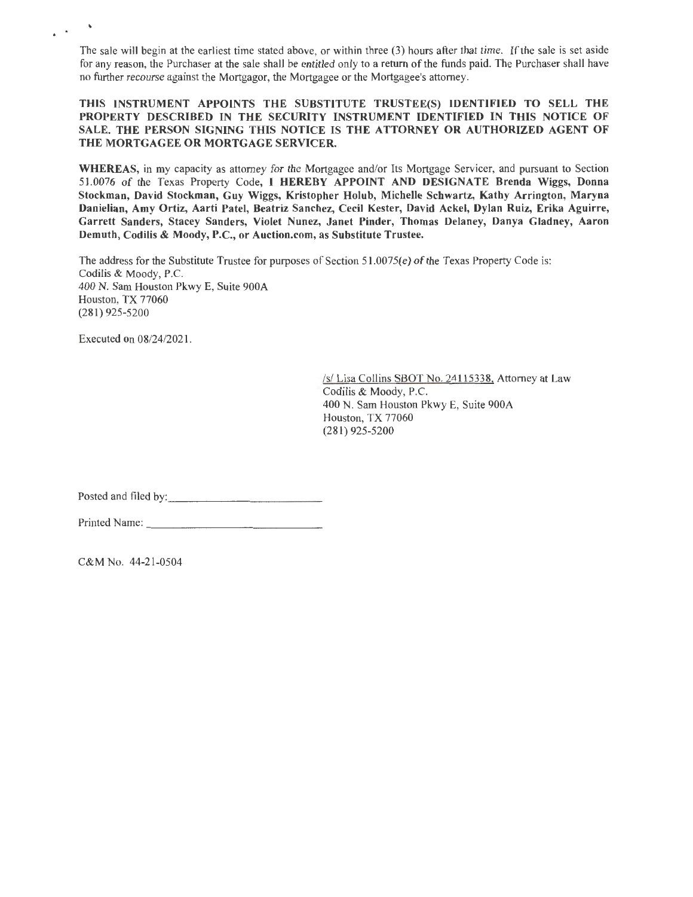The sale will begin at the earliest time stated above, or within three (3) hours after that time. If the sale is set aside for any reason, the Purchaser at the sale shall be entitled only to a return of the funds paid. The Purchaser shall have no further recourse against the Mortgagor, the Mortgagee or the Mortgagee's attorney.

## **THIS INSTRUMENT APPOINTS THE SUBSTITUTE TRUSTEE(S) IDENTIFIED TO SELL THE PROPERTY DESCRIBED** IN **THE SECURITY INSTRUMENT IDENTIFIED** IN **THIS NOTICE OF SALE. THE PERSON SIGNING THIS NOTICE IS THE ATTORNEY OR AUTHORIZED AGENT OF THE MORTGAGEE OR MORTGAGE SERVICER.**

**WHEREAS,** in my capacity as attorney for the Mortgagee and/or Its Mortgage Servicer, and pursuant to Section 51.0076 of the Texas Property Code, I **HEREBY APPOINT AND DESIGNATE Brenda Wiggs, Donna Stockman, David Stockman, Guy Wiggs, Kristopher Holub, Michelle Schwartz, Kathy Arrington, Maryna Danielian, Amy Ortiz, Aarti Patel, Beatriz Sanchez, Cecil Kester, David Ackel, Dylan Ruiz, Erika Aguirre, Garrett Sanders, Stacey Sanders, Violet Nunez, Janet Pinder, Thomas Delaney, Danya Gladney, Aaron**  Demuth, Codilis & Moody, P.C., or Auction.com, as Substitute Trustee.

The address for the Substitute Trustee for purposes of Section  $51.0075(e)$  of the Texas Property Code is: Codilis & Moody, P.C. 400 N. Sam Houston Pkwy E, Suite 900A Houston, TX 77060 (281) 925-5200

Executed on 08/24/2021.

. .

/s/ Lisa Collins SBOT No. 24115338. Attorney at Law Codilis & Moody, P.C. 400 N. Sam Houston Pkwy E, Suite 900A Houston, TX 77060 (281) 925-5200

Posted and filed by:

| Printed Name: |  |
|---------------|--|

C&M No. 44-21-0504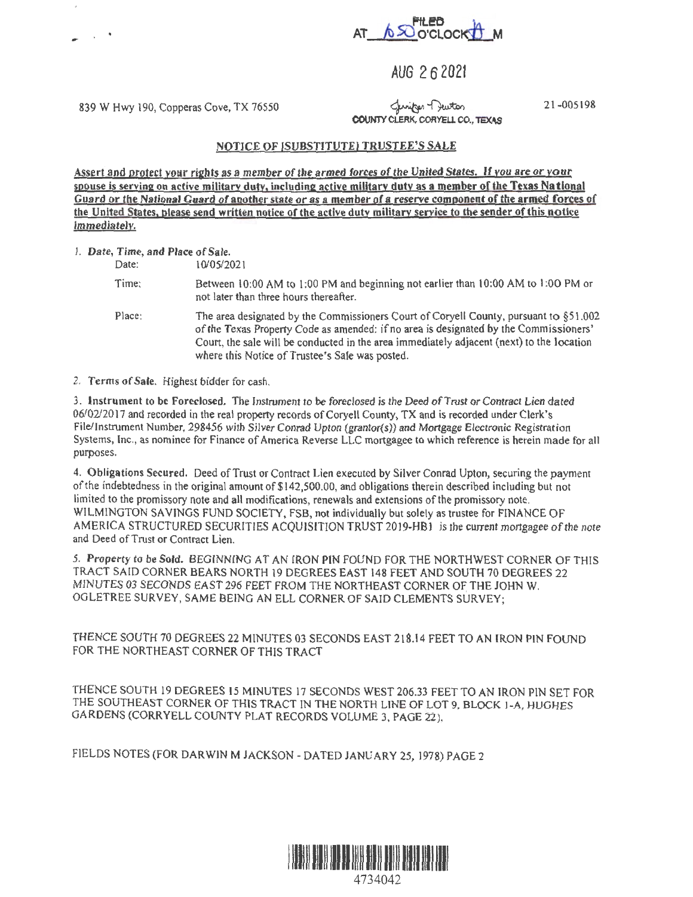

AUG 2 6 2021

839 W Hwy 190, Copperas Cove, TX 76550

لاسلامہ Clunity<br>COUNTY CLERK, CORYELL CO., TEXAS

21-00519&

## **NOTICE OF (SUBSTITUTE) TRUSTEE'S SALE**

**Assert and** protect your **rights as a** member of the armed forces of **the United States.** If you are or your spouse **is serving** on **active military duty, including active military duty as a member of the Texas National Guard or the National Guard of another state** or **as a member of a reserve component of the armed forces of**  the United **States, please send written** notice **or the active duty military service to the sender of this notice**  immediately.

l. **Date,** Time, and **Place** of **Sale.** 

Date: 10/05/2021 Time: Between 10:00 AM to 1:00 PM and beginning not earlier than 10:00 AM to 1:00 PM or not later than three hours thereafter. Place: The area designated by the Commissioners Court of Coryell County, pursuant to §51.002 of the Texas Property Code as amended: if no area is designated by the Commissioners' Court, the sale will be conducted in the area immediately adjacent (next) to the location where this Notice of Trustee's Sale was posted.

2. Terms of **Sale.** Highest bidder for cash.

3. Instrument to be Foreclosed. The Instrument to be foreclosed is the Deed of Trust or Contract Lien dated 06/02/2017 and recorded in the real property records of Coryell County, TX and is recorded under Clerk's File/Instrument Number, 298456 with Silver Conrad Upton (grantor(s)) and Mortgage Electronic Registration Systems, Inc., as nominee for Finance of America Reverse LLC mortgagee to which reference is herein made for all purposes.

4. **Obligations Secured.** Deed of Trust or Contract Lien executed by Silver Conrad Upton, securing the payment of the indebtedness in the original amount of\$142,500.00, and obligations therein described including but not limited to the promissory note and all modifications, renewals and extensions of the promissory note. WILMINGTON SAVINGS FUND SOCIETY, FSB, not individually but solely as trustee for FINANCE OF AMERICA STRUCTURED SECURITIES ACQUISITION TRUST 2019-HB1 is the current mortgagee of the note and Deed of Trust or Contract Lien.

*5.* Property to be Sold. BEGINNING AT AN IRON PIN FOUND FOR THE NORTHWEST CORNER OF THIS TRACT SAID CORNER BEARS NORTH 19 DEGREES EAST 148 FEET AND SOUTH 70 DEGREES 22 MINUTES 03 SECONDS EAST 296 FEET FROM THE NORTHEAST CORNER OF THE JOHN W. OGLETREE SURVEY, SAME BEING AN ELL CORNER OF SAID CLEMENTS SURVEY;

THENCE SOUTH 70 DEGREES 22 MINUTES 03 SECONDS EAST 218.14 FEET TO AN IRON PIN FOUND FOR THE NORTHEAST CORNER OF THIS TRACT

THENCE SOUTH 19 DEGREES 15 MINUTES 17 SECONDS WEST 206.33 FEET TO AN IRON PIN SET FOR THE SOUTHEAST CORNER OF THIS TRACT IN THE NORTH LINE Of LOT 9, BLOCK 1-A, HUGHES GARDENS (CORRYELL COUNTY PLAT RECORDS VOLUME 3, PAGE 22),

FIELDS NOTES (FOR DARWIN M JACKSON -DATED JANUARY 25, 1978) PAGE 2

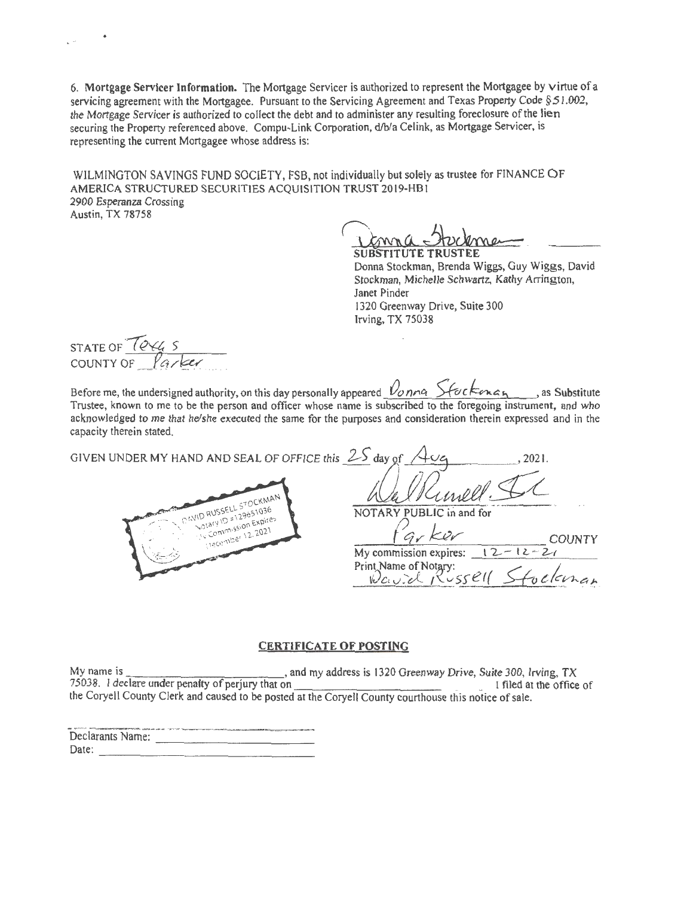6. Mortgage Servicer Information. The Mortgage Servicer is authorized to represent the Mortgagee by virtue of a servicing agreement with the Mortgagee. Pursuant to the Servicing Agreement and Texas Property Code  $\S 51.002$ , the Mortgage Servicer is authorized to collect the debt and to administer any resulting foreclosure of the lien securing the Property referenced above. Compu-Link Corporation, d/b/a Celink, as Mortgage Servicer, is representing the current Mortgagee whose address is:

WILMINGTON SAVINGS FUND SOCIETY, FSB, not individually but solely as trustee for FINANCE OF AMERICA STRUCTURED SECURITIES ACQUISITION TRUST 2019-HB1 2900 Esperanza Crossing Austin, TX 78758

Donna Stockman, Brenda Wiggs, Guy Wiggs, David Stockman, Michelle Schwartz, Kathy Arrington, Janet Pinder 1320 Greenway Drive, Suite 300 Irving,  $TX$  75038

STATE OF  $70$ STATE OF 1844 S

 $\mathbb{R}^2$ 

Before me, the undersigned authority, on this day personally appeared  $\nu_{\text{on}}$   $\alpha$   $\lambda$  for  $\kappa$   $\alpha$   $\alpha$ Trustee, known to me to be the person and officer whose name is subscribed to the foregoing instrument, and who acknowledged to me that he/she executed the same for the purposes and consideration therein expressed and in the capacity therein stated.

GIVEN UNDER MY HAND AND SEAL OF OFFICE this  $2\overline{5}$  day of



2021.

NOTARY PUBLIC in and for

Gr Ker My commission expires:  $\sqrt{2}$ Print Name of Notary: Kussell  $Wc.v.d.1$ 

## **CERTIFICATE OF POSTING**

My name is and my address is 1320 Greenway Drive, Suite 300, Irving, TX 75038. I declare under penalty of perjury that on I filed at the office of the Coryell County Clerk and caused to be posted at the Coryell County courthouse this notice of sale.

|                  | 00 NHTビス コロサムは900年90代の機能を使用5000 AM9 million 2 コアンソア プラウンド アルテスはアンサイエンサールの出版社から2000年の中には国内情報をおけるのでになることが出版の中でのサーマ |
|------------------|------------------------------------------------------------------------------------------------------------------|
| Declarants Name: |                                                                                                                  |
|                  |                                                                                                                  |
| Date:            |                                                                                                                  |